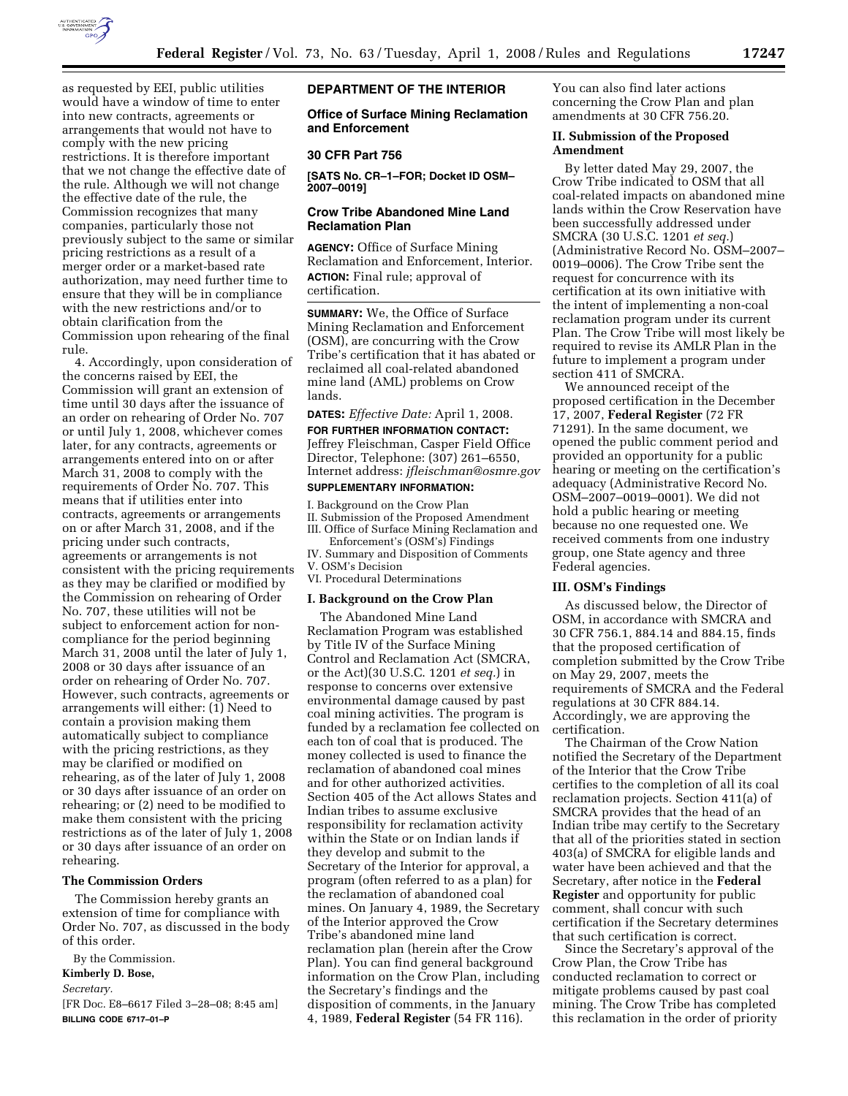

as requested by EEI, public utilities would have a window of time to enter into new contracts, agreements or arrangements that would not have to comply with the new pricing restrictions. It is therefore important that we not change the effective date of the rule. Although we will not change the effective date of the rule, the Commission recognizes that many companies, particularly those not previously subject to the same or similar pricing restrictions as a result of a merger order or a market-based rate authorization, may need further time to ensure that they will be in compliance with the new restrictions and/or to obtain clarification from the Commission upon rehearing of the final rule.

4. Accordingly, upon consideration of the concerns raised by EEI, the Commission will grant an extension of time until 30 days after the issuance of an order on rehearing of Order No. 707 or until July 1, 2008, whichever comes later, for any contracts, agreements or arrangements entered into on or after March 31, 2008 to comply with the requirements of Order No. 707. This means that if utilities enter into contracts, agreements or arrangements on or after March 31, 2008, and if the pricing under such contracts, agreements or arrangements is not consistent with the pricing requirements as they may be clarified or modified by the Commission on rehearing of Order No. 707, these utilities will not be subject to enforcement action for noncompliance for the period beginning March 31, 2008 until the later of July 1, 2008 or 30 days after issuance of an order on rehearing of Order No. 707. However, such contracts, agreements or arrangements will either: (1) Need to contain a provision making them automatically subject to compliance with the pricing restrictions, as they may be clarified or modified on rehearing, as of the later of July 1, 2008 or 30 days after issuance of an order on rehearing; or (2) need to be modified to make them consistent with the pricing restrictions as of the later of July 1, 2008 or 30 days after issuance of an order on rehearing.

# **The Commission Orders**

The Commission hereby grants an extension of time for compliance with Order No. 707, as discussed in the body of this order.

By the Commission.

# **Kimberly D. Bose,**

*Secretary.* 

[FR Doc. E8–6617 Filed 3–28–08; 8:45 am] **BILLING CODE 6717–01–P** 

# **DEPARTMENT OF THE INTERIOR**

**Office of Surface Mining Reclamation and Enforcement** 

### **30 CFR Part 756**

**[SATS No. CR–1–FOR; Docket ID OSM– 2007–0019]** 

## **Crow Tribe Abandoned Mine Land Reclamation Plan**

**AGENCY:** Office of Surface Mining Reclamation and Enforcement, Interior. **ACTION:** Final rule; approval of certification.

**SUMMARY:** We, the Office of Surface Mining Reclamation and Enforcement (OSM), are concurring with the Crow Tribe's certification that it has abated or reclaimed all coal-related abandoned mine land (AML) problems on Crow lands.

# **DATES:** *Effective Date:* April 1, 2008.

**FOR FURTHER INFORMATION CONTACT:**  Jeffrey Fleischman, Casper Field Office Director, Telephone: (307) 261–6550, Internet address: *jfleischman@osmre.gov* 

# **SUPPLEMENTARY INFORMATION:**

I. Background on the Crow Plan II. Submission of the Proposed Amendment III. Office of Surface Mining Reclamation and Enforcement's (OSM's) Findings

- IV. Summary and Disposition of Comments
- V. OSM's Decision
- VI. Procedural Determinations

### **I. Background on the Crow Plan**

The Abandoned Mine Land Reclamation Program was established by Title IV of the Surface Mining Control and Reclamation Act (SMCRA, or the Act)(30 U.S.C. 1201 *et seq.*) in response to concerns over extensive environmental damage caused by past coal mining activities. The program is funded by a reclamation fee collected on each ton of coal that is produced. The money collected is used to finance the reclamation of abandoned coal mines and for other authorized activities. Section 405 of the Act allows States and Indian tribes to assume exclusive responsibility for reclamation activity within the State or on Indian lands if they develop and submit to the Secretary of the Interior for approval, a program (often referred to as a plan) for the reclamation of abandoned coal mines. On January 4, 1989, the Secretary of the Interior approved the Crow Tribe's abandoned mine land reclamation plan (herein after the Crow Plan). You can find general background information on the Crow Plan, including the Secretary's findings and the disposition of comments, in the January 4, 1989, **Federal Register** (54 FR 116).

You can also find later actions concerning the Crow Plan and plan amendments at 30 CFR 756.20.

# **II. Submission of the Proposed Amendment**

By letter dated May 29, 2007, the Crow Tribe indicated to OSM that all coal-related impacts on abandoned mine lands within the Crow Reservation have been successfully addressed under SMCRA (30 U.S.C. 1201 *et seq.*) (Administrative Record No. OSM–2007– 0019–0006). The Crow Tribe sent the request for concurrence with its certification at its own initiative with the intent of implementing a non-coal reclamation program under its current Plan. The Crow Tribe will most likely be required to revise its AMLR Plan in the future to implement a program under section 411 of SMCRA.

We announced receipt of the proposed certification in the December 17, 2007, **Federal Register** (72 FR 71291). In the same document, we opened the public comment period and provided an opportunity for a public hearing or meeting on the certification's adequacy (Administrative Record No. OSM–2007–0019–0001). We did not hold a public hearing or meeting because no one requested one. We received comments from one industry group, one State agency and three Federal agencies.

### **III. OSM's Findings**

As discussed below, the Director of OSM, in accordance with SMCRA and 30 CFR 756.1, 884.14 and 884.15, finds that the proposed certification of completion submitted by the Crow Tribe on May 29, 2007, meets the requirements of SMCRA and the Federal regulations at 30 CFR 884.14. Accordingly, we are approving the certification.

The Chairman of the Crow Nation notified the Secretary of the Department of the Interior that the Crow Tribe certifies to the completion of all its coal reclamation projects. Section 411(a) of SMCRA provides that the head of an Indian tribe may certify to the Secretary that all of the priorities stated in section 403(a) of SMCRA for eligible lands and water have been achieved and that the Secretary, after notice in the **Federal Register** and opportunity for public comment, shall concur with such certification if the Secretary determines that such certification is correct.

Since the Secretary's approval of the Crow Plan, the Crow Tribe has conducted reclamation to correct or mitigate problems caused by past coal mining. The Crow Tribe has completed this reclamation in the order of priority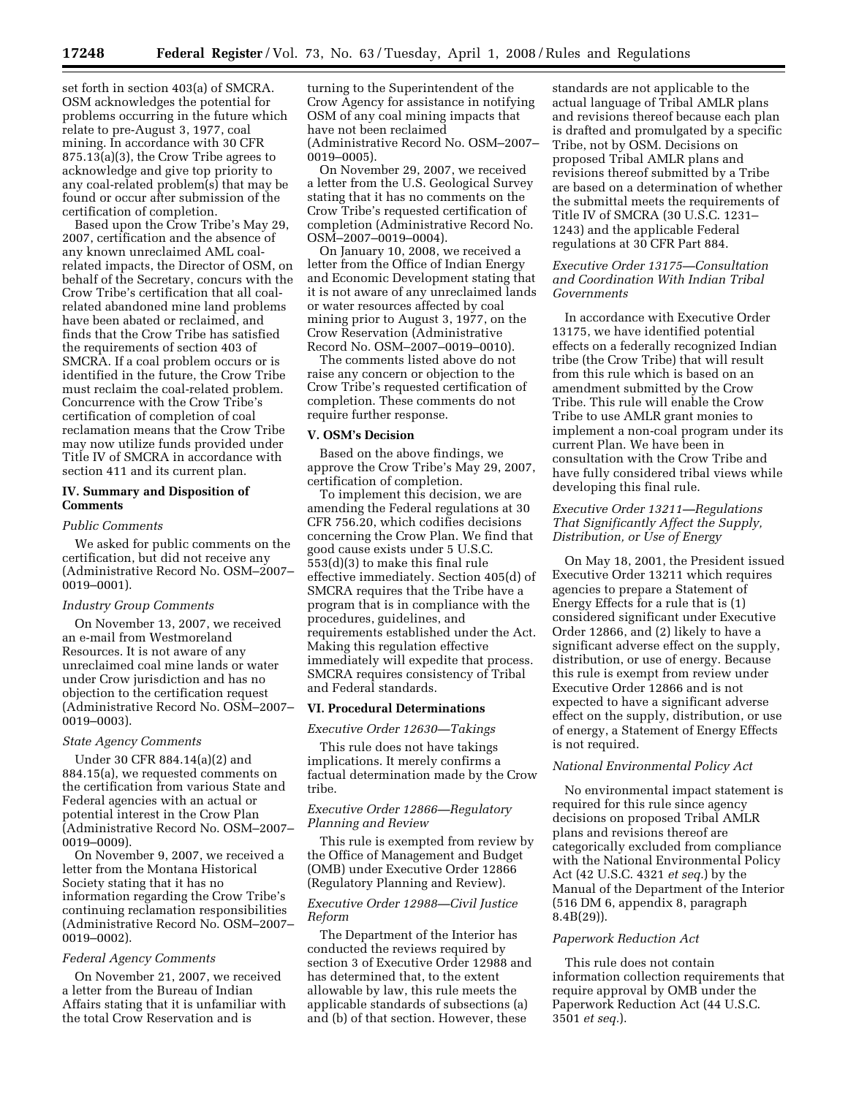set forth in section 403(a) of SMCRA. OSM acknowledges the potential for problems occurring in the future which relate to pre-August 3, 1977, coal mining. In accordance with 30 CFR 875.13(a)(3), the Crow Tribe agrees to acknowledge and give top priority to any coal-related problem(s) that may be found or occur after submission of the certification of completion.

Based upon the Crow Tribe's May 29, 2007, certification and the absence of any known unreclaimed AML coalrelated impacts, the Director of OSM, on behalf of the Secretary, concurs with the Crow Tribe's certification that all coalrelated abandoned mine land problems have been abated or reclaimed, and finds that the Crow Tribe has satisfied the requirements of section 403 of SMCRA. If a coal problem occurs or is identified in the future, the Crow Tribe must reclaim the coal-related problem. Concurrence with the Crow Tribe's certification of completion of coal reclamation means that the Crow Tribe may now utilize funds provided under Title IV of SMCRA in accordance with section 411 and its current plan.

### **IV. Summary and Disposition of Comments**

#### *Public Comments*

We asked for public comments on the certification, but did not receive any (Administrative Record No. OSM–2007– 0019–0001).

### *Industry Group Comments*

On November 13, 2007, we received an e-mail from Westmoreland Resources. It is not aware of any unreclaimed coal mine lands or water under Crow jurisdiction and has no objection to the certification request (Administrative Record No. OSM–2007– 0019–0003).

#### *State Agency Comments*

Under 30 CFR 884.14(a)(2) and 884.15(a), we requested comments on the certification from various State and Federal agencies with an actual or potential interest in the Crow Plan (Administrative Record No. OSM–2007– 0019–0009).

On November 9, 2007, we received a letter from the Montana Historical Society stating that it has no information regarding the Crow Tribe's continuing reclamation responsibilities (Administrative Record No. OSM–2007– 0019–0002).

### *Federal Agency Comments*

On November 21, 2007, we received a letter from the Bureau of Indian Affairs stating that it is unfamiliar with the total Crow Reservation and is

turning to the Superintendent of the Crow Agency for assistance in notifying OSM of any coal mining impacts that have not been reclaimed (Administrative Record No. OSM–2007– 0019–0005).

On November 29, 2007, we received a letter from the U.S. Geological Survey stating that it has no comments on the Crow Tribe's requested certification of completion (Administrative Record No. OSM–2007–0019–0004).

On January 10, 2008, we received a letter from the Office of Indian Energy and Economic Development stating that it is not aware of any unreclaimed lands or water resources affected by coal mining prior to August 3, 1977, on the Crow Reservation (Administrative Record No. OSM–2007–0019–0010).

The comments listed above do not raise any concern or objection to the Crow Tribe's requested certification of completion. These comments do not require further response.

#### **V. OSM's Decision**

Based on the above findings, we approve the Crow Tribe's May 29, 2007, certification of completion.

To implement this decision, we are amending the Federal regulations at 30 CFR 756.20, which codifies decisions concerning the Crow Plan. We find that good cause exists under 5 U.S.C. 553(d)(3) to make this final rule effective immediately. Section 405(d) of SMCRA requires that the Tribe have a program that is in compliance with the procedures, guidelines, and requirements established under the Act. Making this regulation effective immediately will expedite that process. SMCRA requires consistency of Tribal and Federal standards.

## **VI. Procedural Determinations**

### *Executive Order 12630—Takings*

This rule does not have takings implications. It merely confirms a factual determination made by the Crow tribe.

### *Executive Order 12866—Regulatory Planning and Review*

This rule is exempted from review by the Office of Management and Budget (OMB) under Executive Order 12866 (Regulatory Planning and Review).

### *Executive Order 12988—Civil Justice Reform*

The Department of the Interior has conducted the reviews required by section 3 of Executive Order 12988 and has determined that, to the extent allowable by law, this rule meets the applicable standards of subsections (a) and (b) of that section. However, these

standards are not applicable to the actual language of Tribal AMLR plans and revisions thereof because each plan is drafted and promulgated by a specific Tribe, not by OSM. Decisions on proposed Tribal AMLR plans and revisions thereof submitted by a Tribe are based on a determination of whether the submittal meets the requirements of Title IV of SMCRA (30 U.S.C. 1231– 1243) and the applicable Federal regulations at 30 CFR Part 884.

### *Executive Order 13175—Consultation and Coordination With Indian Tribal Governments*

In accordance with Executive Order 13175, we have identified potential effects on a federally recognized Indian tribe (the Crow Tribe) that will result from this rule which is based on an amendment submitted by the Crow Tribe. This rule will enable the Crow Tribe to use AMLR grant monies to implement a non-coal program under its current Plan. We have been in consultation with the Crow Tribe and have fully considered tribal views while developing this final rule.

# *Executive Order 13211—Regulations That Significantly Affect the Supply, Distribution, or Use of Energy*

On May 18, 2001, the President issued Executive Order 13211 which requires agencies to prepare a Statement of Energy Effects for a rule that is (1) considered significant under Executive Order 12866, and (2) likely to have a significant adverse effect on the supply, distribution, or use of energy. Because this rule is exempt from review under Executive Order 12866 and is not expected to have a significant adverse effect on the supply, distribution, or use of energy, a Statement of Energy Effects is not required.

### *National Environmental Policy Act*

No environmental impact statement is required for this rule since agency decisions on proposed Tribal AMLR plans and revisions thereof are categorically excluded from compliance with the National Environmental Policy Act (42 U.S.C. 4321 *et seq.*) by the Manual of the Department of the Interior (516 DM 6, appendix 8, paragraph 8.4B(29)).

#### *Paperwork Reduction Act*

This rule does not contain information collection requirements that require approval by OMB under the Paperwork Reduction Act (44 U.S.C. 3501 *et seq.*).